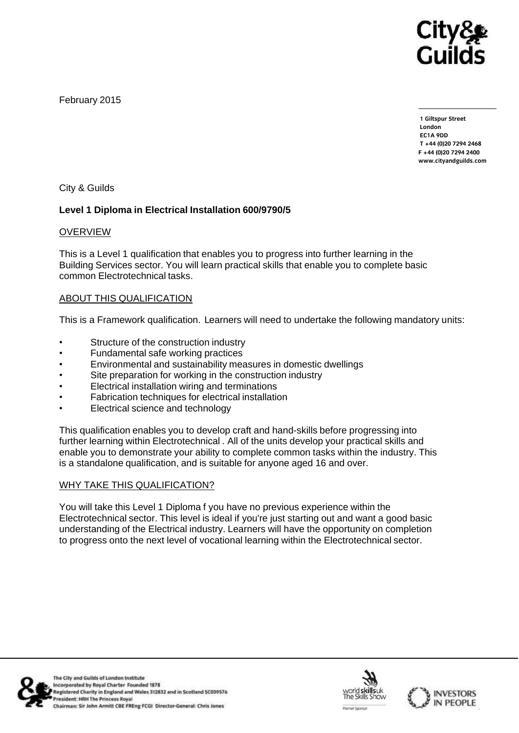

February 2015

**1 Giltspur Street EC1A 9DD** T +44 (0) 20 7 294 2468 **T +44 (0)20 7294 246[8](http://www.cityandguilds.com/) F +44** (1)<br>Example: altreader ilde ee **[www.cityandguilds.com](http://www.cityandguilds.com/)**

City & Guilds

# **Level 1 Diploma in Electrical Installation 600/9790/5**

## OVERVIEW

This is a Level 1 qualification that enables you to progress into further learning in the Building Services sector. You will learn practical skills that enable you to complete basic common Electrotechnical tasks.

# ABOUT THIS QUALIFICATION

This is a Framework qualification. Learners will need to undertake the following mandatory units:

- Structure of the construction industry
- Fundamental safe working practices
- Environmental and sustainability measures in domestic dwellings
- Site preparation for working in the construction industry
- Electrical installation wiring and terminations
- Fabrication techniques for electrical installation
- Electrical science and technology

This qualification enables you to develop craft and hand-skills before progressing into further learning within Electrotechnical . All of the units develop your practical skills and enable you to demonstrate your ability to complete common tasks within the industry. This is a standalone qualification, and is suitable for anyone aged 16 and over.

## WHY TAKE THIS QUALIFICATION?

You will take this Level 1 Diploma f you have no previous experience within the Electrotechnical sector. This level is ideal if you're just starting out and want a good basic understanding of the Electrical industry. Learners will have the opportunity on completion to progress onto the next level of vocational learning within the Electrotechnical sector.